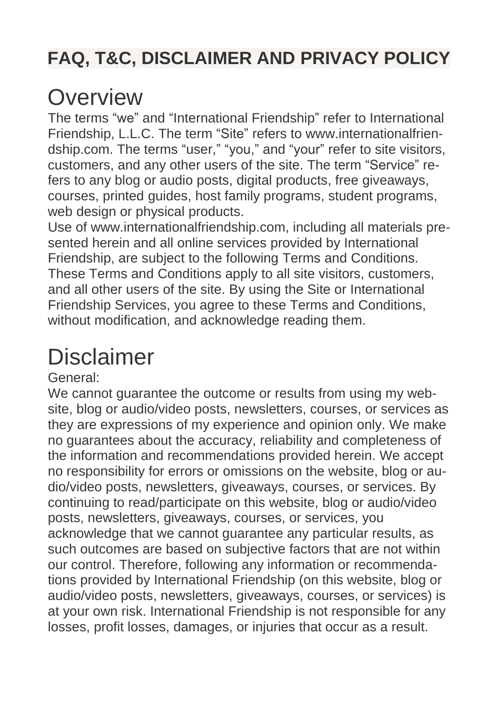### **FAQ, T&C, DISCLAIMER AND PRIVACY POLICY**

### **Overview**

The terms "we" and "International Friendship" refer to International Friendship, L.L.C. The term "Site" refers to www.internationalfriendship.com. The terms "user," "you," and "your" refer to site visitors, customers, and any other users of the site. The term "Service" refers to any blog or audio posts, digital products, free giveaways, courses, printed guides, host family programs, student programs, web design or physical products.

Use of www.internationalfriendship.com, including all materials presented herein and all online services provided by International Friendship, are subject to the following Terms and Conditions. These Terms and Conditions apply to all site visitors, customers, and all other users of the site. By using the Site or International Friendship Services, you agree to these Terms and Conditions, without modification, and acknowledge reading them.

# **Disclaimer**

General:

We cannot quarantee the outcome or results from using my website, blog or audio/video posts, newsletters, courses, or services as they are expressions of my experience and opinion only. We make no guarantees about the accuracy, reliability and completeness of the information and recommendations provided herein. We accept no responsibility for errors or omissions on the website, blog or audio/video posts, newsletters, giveaways, courses, or services. By continuing to read/participate on this website, blog or audio/video posts, newsletters, giveaways, courses, or services, you acknowledge that we cannot guarantee any particular results, as such outcomes are based on subjective factors that are not within our control. Therefore, following any information or recommendations provided by International Friendship (on this website, blog or audio/video posts, newsletters, giveaways, courses, or services) is at your own risk. International Friendship is not responsible for any losses, profit losses, damages, or injuries that occur as a result.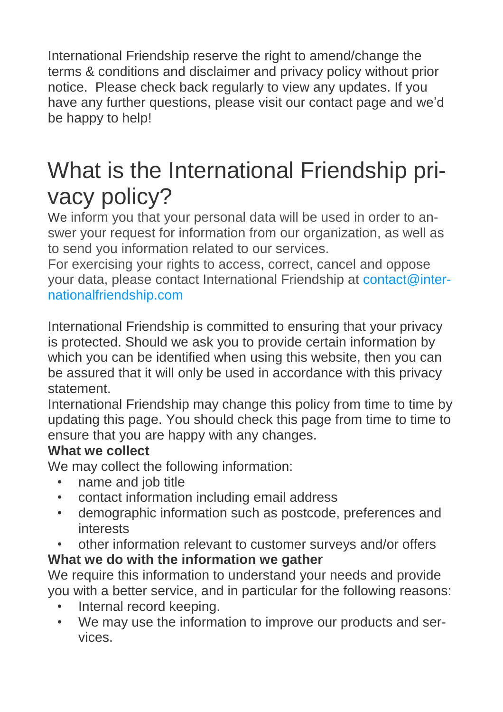International Friendship reserve the right to amend/change the terms & conditions and disclaimer and privacy policy without prior notice. Please check back regularly to view any updates. If you have any further questions, please visit our contact page and we'd be happy to help!

# What is the International Friendship privacy policy?

We inform you that your personal data will be used in order to answer your request for information from our organization, as well as to send you information related to our services.

For exercising your rights to access, correct, cancel and oppose your data, please contact International Friendship at contact@internationalfriendship.com

International Friendship is committed to ensuring that your privacy is protected. Should we ask you to provide certain information by which you can be identified when using this website, then you can be assured that it will only be used in accordance with this privacy statement.

International Friendship may change this policy from time to time by updating this page. You should check this page from time to time to ensure that you are happy with any changes.

#### **What we collect**

We may collect the following information:

- name and job title
- contact information including email address
- demographic information such as postcode, preferences and interests
- other information relevant to customer surveys and/or offers

### **What we do with the information we gather**

We require this information to understand your needs and provide you with a better service, and in particular for the following reasons:

- Internal record keeping.
- We may use the information to improve our products and services.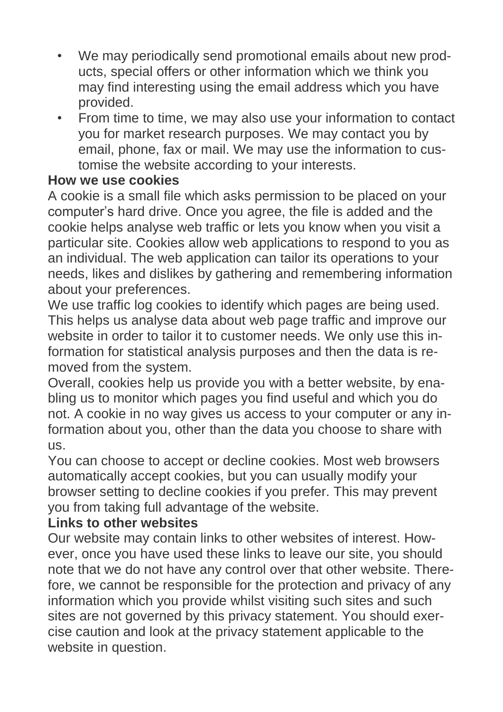- We may periodically send promotional emails about new products, special offers or other information which we think you may find interesting using the email address which you have provided.
- From time to time, we may also use your information to contact you for market research purposes. We may contact you by email, phone, fax or mail. We may use the information to customise the website according to your interests.

#### **How we use cookies**

A cookie is a small file which asks permission to be placed on your computer's hard drive. Once you agree, the file is added and the cookie helps analyse web traffic or lets you know when you visit a particular site. Cookies allow web applications to respond to you as an individual. The web application can tailor its operations to your needs, likes and dislikes by gathering and remembering information about your preferences.

We use traffic log cookies to identify which pages are being used. This helps us analyse data about web page traffic and improve our website in order to tailor it to customer needs. We only use this information for statistical analysis purposes and then the data is removed from the system.

Overall, cookies help us provide you with a better website, by enabling us to monitor which pages you find useful and which you do not. A cookie in no way gives us access to your computer or any information about you, other than the data you choose to share with us.

You can choose to accept or decline cookies. Most web browsers automatically accept cookies, but you can usually modify your browser setting to decline cookies if you prefer. This may prevent you from taking full advantage of the website.

#### **Links to other websites**

Our website may contain links to other websites of interest. However, once you have used these links to leave our site, you should note that we do not have any control over that other website. Therefore, we cannot be responsible for the protection and privacy of any information which you provide whilst visiting such sites and such sites are not governed by this privacy statement. You should exercise caution and look at the privacy statement applicable to the website in question.